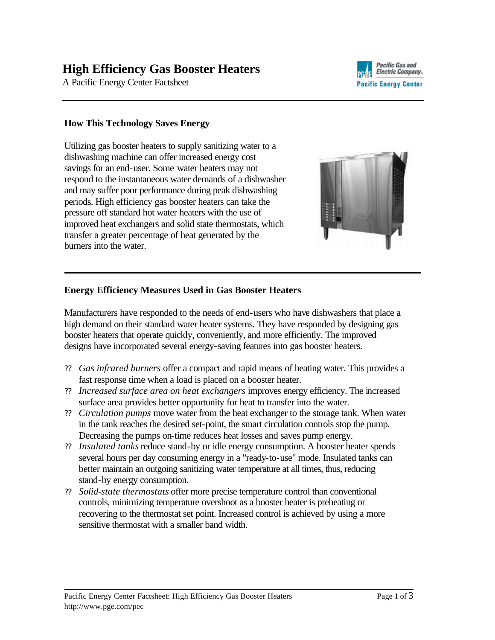# **High Efficiency Gas Booster Heaters**

A Pacific Energy Center Factsheet



## **How This Technology Saves Energy**

Utilizing gas booster heaters to supply sanitizing water to a dishwashing machine can offer increased energy cost savings for an end-user. Some water heaters may not respond to the instantaneous water demands of a dishwasher and may suffer poor performance during peak dishwashing periods. High efficiency gas booster heaters can take the pressure off standard hot water heaters with the use of improved heat exchangers and solid state thermostats, which transfer a greater percentage of heat generated by the burners into the water.



## **Energy Efficiency Measures Used in Gas Booster Heaters**

Manufacturers have responded to the needs of end-users who have dishwashers that place a high demand on their standard water heater systems. They have responded by designing gas booster heaters that operate quickly, conveniently, and more efficiently. The improved designs have incorporated several energy-saving features into gas booster heaters.

- ?? *Gas infrared burners* offer a compact and rapid means of heating water. This provides a fast response time when a load is placed on a booster heater.
- ?? *Increased surface area on heat exchangers* improves energy efficiency. The increased surface area provides better opportunity for heat to transfer into the water.
- ?? *Circulation pumps* move water from the heat exchanger to the storage tank. When water in the tank reaches the desired set-point, the smart circulation controls stop the pump. Decreasing the pumps on-time reduces heat losses and saves pump energy.
- ?? *Insulated tanks* reduce stand-by or idle energy consumption. A booster heater spends several hours per day consuming energy in a "ready-to-use" mode. Insulated tanks can better maintain an outgoing sanitizing water temperature at all times, thus, reducing stand-by energy consumption.
- ?? *Solid-state thermostats* offer more precise temperature control than conventional controls, minimizing temperature overshoot as a booster heater is preheating or recovering to the thermostat set point. Increased control is achieved by using a more sensitive thermostat with a smaller band width.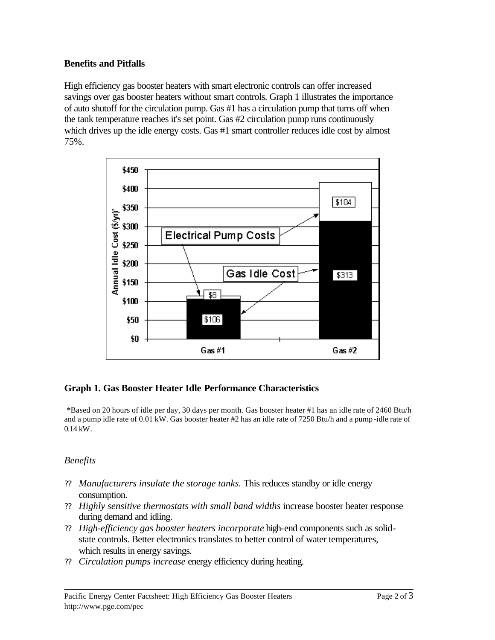## **Benefits and Pitfalls**

High efficiency gas booster heaters with smart electronic controls can offer increased savings over gas booster heaters without smart controls. Graph 1 illustrates the importance of auto shutoff for the circulation pump. Gas #1 has a circulation pump that turns off when the tank temperature reaches it's set point. Gas #2 circulation pump runs continuously which drives up the idle energy costs. Gas #1 smart controller reduces idle cost by almost 75%.



# **Graph 1. Gas Booster Heater Idle Performance Characteristics**

\*Based on 20 hours of idle per day, 30 days per month. Gas booster heater #1 has an idle rate of 2460 Btu/h and a pump idle rate of 0.01 kW. Gas booster heater #2 has an idle rate of 7250 Btu/h and a pump -idle rate of 0.14 kW.

## *Benefits*

- ?? *Manufacturers insulate the storage tanks.* This reduces standby or idle energy consumption.
- ?? *Highly sensitive thermostats with small band widths* increase booster heater response during demand and idling.
- ?? *High-efficiency gas booster heaters incorporate* high-end components such as solidstate controls. Better electronics translates to better control of water temperatures, which results in energy savings.
- ?? *Circulation pumps increase* energy efficiency during heating.